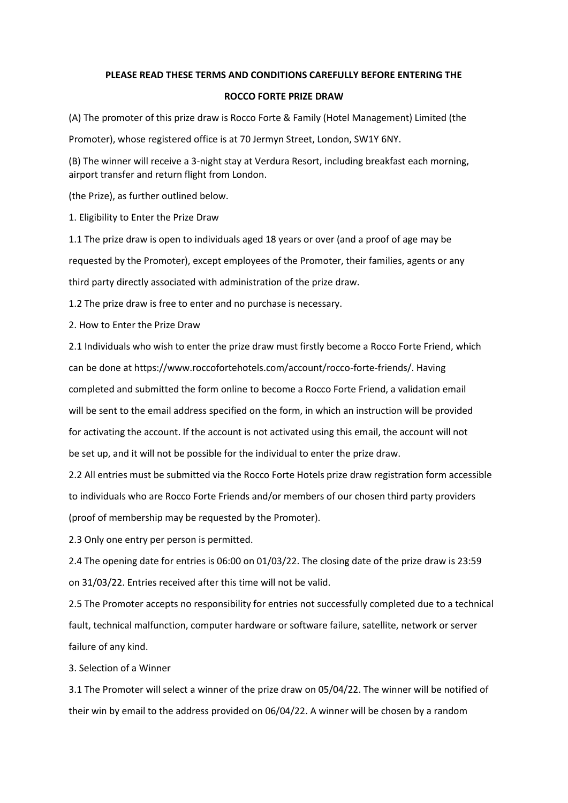## **PLEASE READ THESE TERMS AND CONDITIONS CAREFULLY BEFORE ENTERING THE**

## **ROCCO FORTE PRIZE DRAW**

(A) The promoter of this prize draw is Rocco Forte & Family (Hotel Management) Limited (the

Promoter), whose registered office is at 70 Jermyn Street, London, SW1Y 6NY.

(B) The winner will receive a 3-night stay at Verdura Resort, including breakfast each morning, airport transfer and return flight from London.

(the Prize), as further outlined below.

1. Eligibility to Enter the Prize Draw

1.1 The prize draw is open to individuals aged 18 years or over (and a proof of age may be requested by the Promoter), except employees of the Promoter, their families, agents or any third party directly associated with administration of the prize draw.

1.2 The prize draw is free to enter and no purchase is necessary.

2. How to Enter the Prize Draw

2.1 Individuals who wish to enter the prize draw must firstly become a Rocco Forte Friend, which can be done at https://www.roccofortehotels.com/account/rocco-forte-friends/. Having completed and submitted the form online to become a Rocco Forte Friend, a validation email will be sent to the email address specified on the form, in which an instruction will be provided for activating the account. If the account is not activated using this email, the account will not be set up, and it will not be possible for the individual to enter the prize draw.

2.2 All entries must be submitted via the Rocco Forte Hotels prize draw registration form accessible to individuals who are Rocco Forte Friends and/or members of our chosen third party providers (proof of membership may be requested by the Promoter).

2.3 Only one entry per person is permitted.

2.4 The opening date for entries is 06:00 on 01/03/22. The closing date of the prize draw is 23:59 on 31/03/22. Entries received after this time will not be valid.

2.5 The Promoter accepts no responsibility for entries not successfully completed due to a technical fault, technical malfunction, computer hardware or software failure, satellite, network or server failure of any kind.

3. Selection of a Winner

3.1 The Promoter will select a winner of the prize draw on 05/04/22. The winner will be notified of their win by email to the address provided on 06/04/22. A winner will be chosen by a random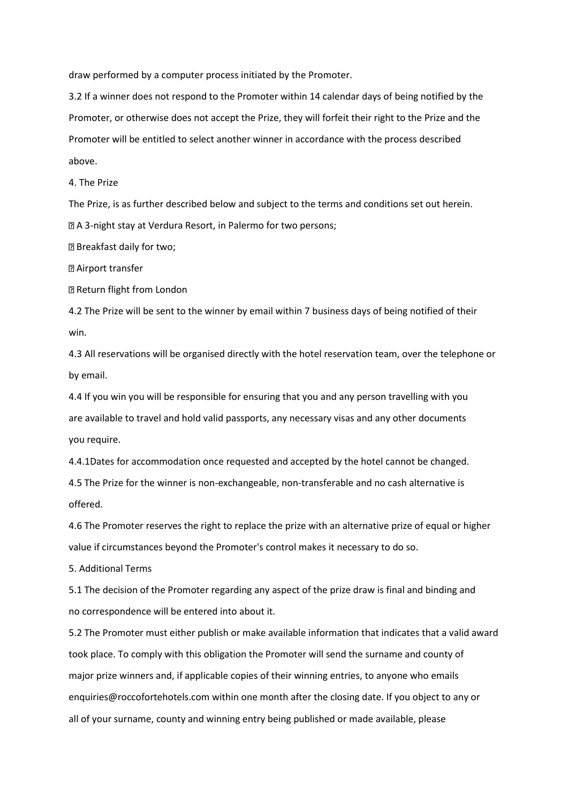draw performed by a computer process initiated by the Promoter.

3.2 If a winner does not respond to the Promoter within 14 calendar days of being notified by the Promoter, or otherwise does not accept the Prize, they will forfeit their right to the Prize and the Promoter will be entitled to select another winner in accordance with the process described above.

4. The Prize

The Prize, is as further described below and subject to the terms and conditions set out herein. A 3-night stay at Verdura Resort, in Palermo for two persons;

Breakfast daily for two;

**2 Airport transfer** 

Return flight from London

4.2 The Prize will be sent to the winner by email within 7 business days of being notified of their win.

4.3 All reservations will be organised directly with the hotel reservation team, over the telephone or by email.

4.4 If you win you will be responsible for ensuring that you and any person travelling with you are available to travel and hold valid passports, any necessary visas and any other documents you require.

4.4.1Dates for accommodation once requested and accepted by the hotel cannot be changed.

4.5 The Prize for the winner is non-exchangeable, non-transferable and no cash alternative is offered.

4.6 The Promoter reserves the right to replace the prize with an alternative prize of equal or higher value if circumstances beyond the Promoter's control makes it necessary to do so.

5. Additional Terms

5.1 The decision of the Promoter regarding any aspect of the prize draw is final and binding and no correspondence will be entered into about it.

5.2 The Promoter must either publish or make available information that indicates that a valid award took place. To comply with this obligation the Promoter will send the surname and county of major prize winners and, if applicable copies of their winning entries, to anyone who emails enquiries@roccofortehotels.com within one month after the closing date. If you object to any or all of your surname, county and winning entry being published or made available, please